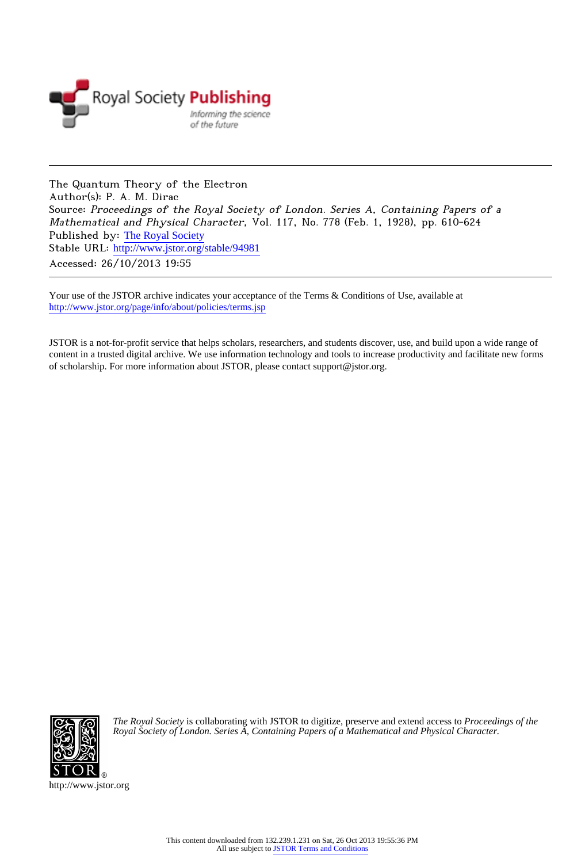

The Quantum Theory of the Electron Author(s): P. A. M. Dirac Source: Proceedings of the Royal Society of London. Series A, Containing Papers of a Mathematical and Physical Character, Vol. 117, No. 778 (Feb. 1, 1928), pp. 610-624 Published by: [The Royal Society](http://www.jstor.org/action/showPublisher?publisherCode=rsl) Stable URL: [http://www.jstor.org/stable/94981](http://www.jstor.org/stable/94981?origin=JSTOR-pdf) Accessed: 26/10/2013 19:55

Your use of the JSTOR archive indicates your acceptance of the Terms & Conditions of Use, available at <http://www.jstor.org/page/info/about/policies/terms.jsp>

JSTOR is a not-for-profit service that helps scholars, researchers, and students discover, use, and build upon a wide range of content in a trusted digital archive. We use information technology and tools to increase productivity and facilitate new forms of scholarship. For more information about JSTOR, please contact support@jstor.org.



*The Royal Society* is collaborating with JSTOR to digitize, preserve and extend access to *Proceedings of the Royal Society of London. Series A, Containing Papers of a Mathematical and Physical Character.*

http://www.jstor.org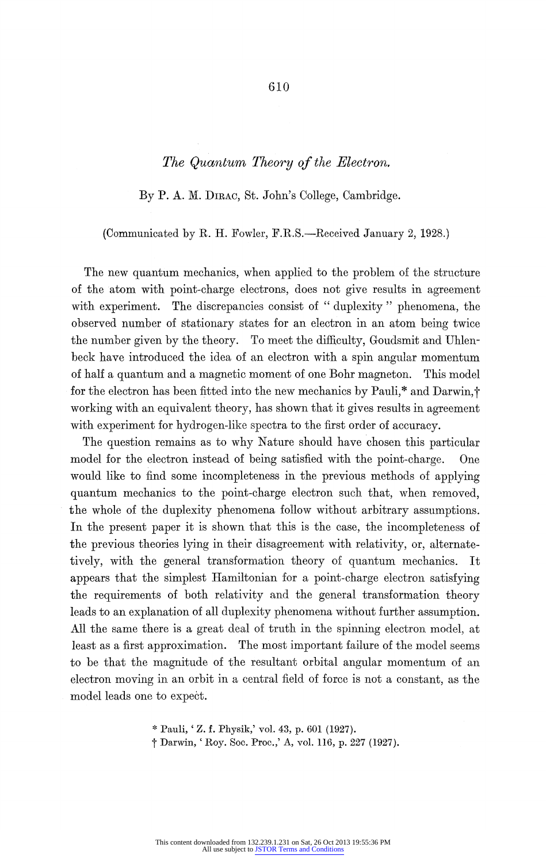# **The Quantum Theory of the Electron.**

**By P. A. M. DIRAC, St. John's College, Cambridge.** 

**(Communicated by R. H. Fowler, F.R.S.-Received January 2, 1928.)** 

**The new quantum mechanics, when applied to the problem of the structure of the atom with point-charge electrons, does not give results in agreement**  with experiment. The discrepancies consist of " duplexity " phenomena, the **observed number of stationary states for an electron in an atom being twice the number given by the theory. To meet the difficulty, Goudsmit and Uhlenbeck have introduced the idea of an electron with a spin angular momentum of half a quantum and a magnetic moment of one Bohr magneton. This model**  for the electron has been fitted into the new mechanics by Pauli,\* and Darwin,† **working with an equivalent theory, has shown that it gives results in agreement with experiment for hydrogen-like spectra to the first order of accuracy.** 

**The question remains as to why Nature should have chosen this particular model for the electron instead of being satisfied with the point-charge. One would like to find some incompleteness in the previous methods of applying quantum mechanics to the point-charge electron such that, when removed, the whole of the duplexity phenomena follow without arbitrary assumptions. In the present paper it is shown that this is the case, the incompleteness of the previous theories lying in their disagreement with relativity, or, alternatetively, with the general transformation theory of quantum mechanics. It appears that the simplest Hamiltonian for a point-charge electron satisfying the requirements of both relativity and the general transformation theory leads to an explanation of all duplexity phenomena without further assumption. All the same there is a great deal of truth in the spinning electron model, at least as a first approximation. The most important failure of the model seems to be that the magnitude of the resultant orbital angular momentum of an electron moving in an orbit in a central field of force is not a constant, as the model leads one to expect.** 

**\* Pauli, 'Z. f. Physik,' vol. 43, p. 601 (1927).** 

**t Darwin, 'Roy. Soc. Proc.,' A, vol. 116, p. 227 (1927).**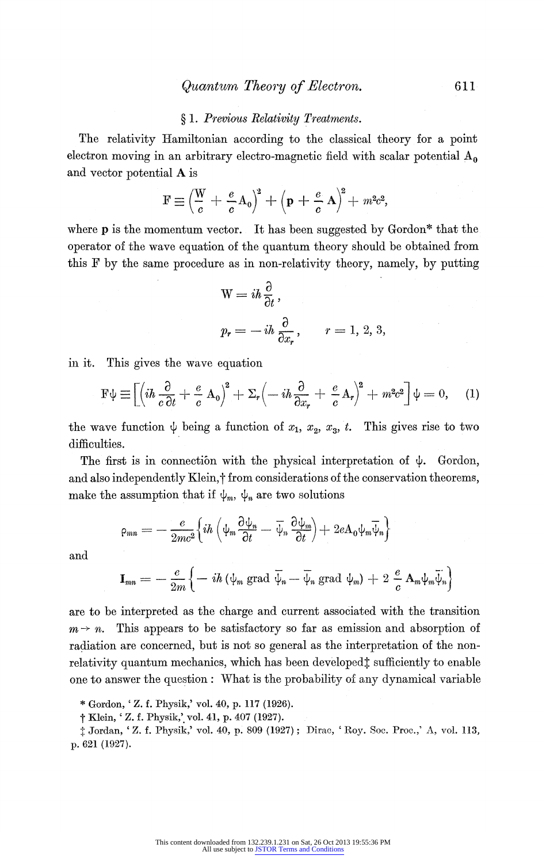#### **Quantum Theory of Electron. 611-**

## **? 1. Previous Relativity Treatments.**

The relativity Hamiltonian according to the classical theory for a point **electron moving in an arbitrary electro-magnetic field with scalar potential Ao and vector potential A is** 

$$
\mathbf{F} \equiv \left(\frac{\mathbf{W}}{c} + \frac{e}{c}\mathbf{A}_0\right)^2 + \left(\mathbf{p} + \frac{e}{c}\mathbf{A}\right)^2 + m^2c^2,
$$

**where p is the momentum vector. It has been suggested by Gordon\* that the operator of the wave equation of the quantum theory should be obtained from this F by the same procedure as in non-relativity theory, namely, by putting** 

$$
W = i\hbar \frac{\partial}{\partial t},
$$
  

$$
p_r = -i\hbar \frac{\partial}{\partial x_r}, \qquad r = 1, 2, 3,
$$

**in it. This gives the wave equation** 

$$
\mathbf{F}\psi \equiv \left[ \left( i\hbar \frac{\partial}{c \partial t} + \frac{e}{c} \mathbf{A}_0 \right)^2 + \Sigma_r \left( -i\hbar \frac{\partial}{\partial x_r} + \frac{e}{c} \mathbf{A}_r \right)^2 + m^2 c^2 \right] \psi = 0, \quad (1)
$$

the wave function  $\psi$  being a function of  $x_1, x_2, x_3, t$ . This gives rise to two **difficulties.** 

The first is in connection with the physical interpretation of  $\psi$ . Gordon, and also independently Klein,<sup>†</sup> from considerations of the conservation theorems, make the assumption that if  $\psi_m$ ,  $\psi_n$  are two solutions

$$
\rho_{mn} = -\frac{e}{2mc^2} \Big\{ i\hbar \left( \psi_m \frac{\partial \psi_n}{\partial t} - \overline{\psi}_n \frac{\partial \psi_m}{\partial t} \right) + 2e \mathbf{A}_0 \psi_m \overline{\psi}_n \Big\}
$$
\n
$$
\mathbf{I}_{mn} = -\frac{e}{2m} \Big\{ -i\hbar \left( \psi_m \text{ grad } \overline{\psi}_n - \overline{\psi}_n \text{ grad } \psi_m \right) + 2\frac{e}{c} \mathbf{A}_m \psi_m \overline{\psi}_n \Big\}
$$

**and** 

**are to be interpreted as the charge and current associated with the transition**   $m \rightarrow n$ . This appears to be satisfactory so far as emission and absorption of **radiation are concerned, but is not so general as the interpretation of the non**relativity quantum mechanics, which has been developed<sup>†</sup> sufficiently to enable **one to answer the question: What is the probability of any dynamical variable** 

**\* Gordon, 'Z. f. Physik,' vol. 40, p. 117 (1926).** 

**p Klein, ' Z. f. Physik,' vol. 41, p. 407 (1927).** 

**: Jordan, 'Z. f. Physik,' vol. 40, p. 809 (1927); Dirac, ' Roy. Soc. Proc.,' A, vol. 113, p. 621 (1927).**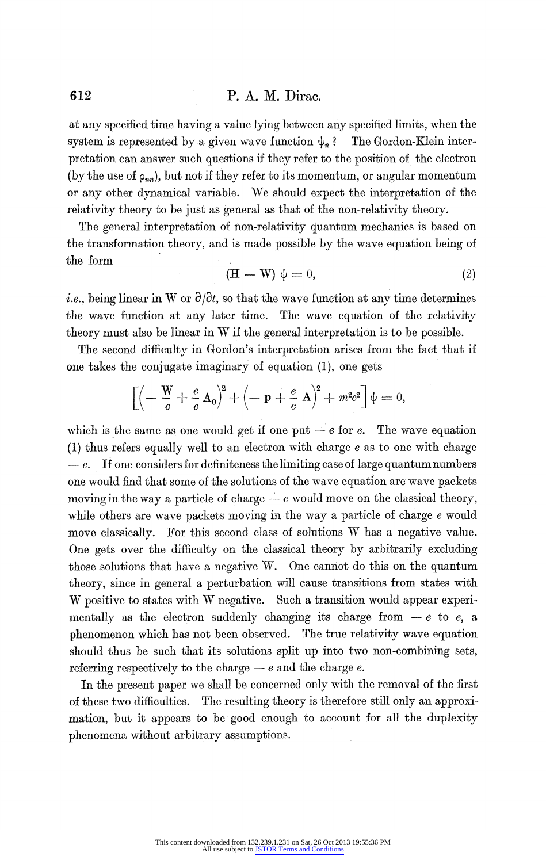**at any specified time having a value lying between any specified limits, when the**  system is represented by a given wave function  $\psi_n$ ? The Gordon-Klein inter**pretation can answer such questions if they refer to the position of the electron**  (by the use of  $\rho_{nn}$ ), but not if they refer to its momentum, or angular momentum **or any other dynamical variable. We should expect the interpretation of the relativity theory to be just as general as that of the non-relativity theory.** 

**The general interpretation of non-relativity quantum mechanics is based on the transformation theory, and is made possible by the wave equation being of the form** 

$$
(\mathbf{H} - \mathbf{W}) \psi = 0,\tag{2}
$$

*i.e.*, being linear in W or  $\partial/\partial t$ , so that the wave function at any time determines **the wave function at any later time. The wave equation of the relativity theory must also be linear in W if the general interpretation is to be possible.** 

**The second difficulty in Gordon's interpretation arises from the fact that if one takes the conjugate imaginary of equation (1), one gets** 

$$
\Big[\Big(-\frac{\text{W}}{c}+\frac{e}{c}\,\text{A}_0\Big)^{\!2}+\Big(-\,\text{p}+\frac{e}{c}\,\text{A}\Big)^{\!2}+m^2c^2\Big]\,\psi=0,
$$

which is the same as one would get if one put  $-e$  for e. The wave equation **(1) thus refers equally well to an electron with charge e as to one with charge - e. If one considers for definiteness the limiting case of large quantum numbers one would find that some of the solutions of the wave equation are wave packets**  moving in the way a particle of charge  $-e$  would move on the classical theory, **while others are wave packets moving in the way a particle of charge e would move classically. For this second class of solutions W has a negative value. One gets over the difficulty on the classical theory by arbitrarily excluding those solutions that have a negative W. One cannot do this on the quantum theory, since in general a perturbation will cause transitions from states with W positive to states with W negative. Such a transition would appear experi**mentally as the electron suddenly changing its charge from  $-e$  to  $e$ , a **phenomenon which has not been observed. The true relativity wave equation should thus be such that its solutions split up into two non-combining sets, referring respectively to the charge**  $-e$  **and the charge**  $e$ **.** 

**In the present paper we shall be concerned only with the removal of the first of these two difficulties. The resulting theory is therefore still only an approximation, but it appears to be good enough to account for all the duplexity phenomena without arbitrary assumptions.**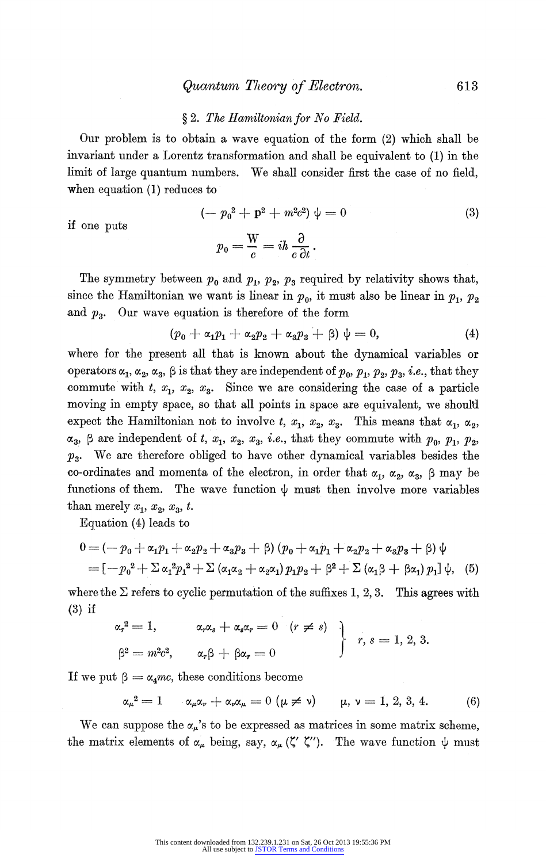## **? 2. The Hamiltonian for No Field.**

**Our problem is to obtain a wave equation of the form (2) which shall be invariant under a Lorentz transformation and shall be equivalent to (1) in the limit of large quantum numbers. We shall consider first the case of no field, when equation (1) reduces to** 

if one puts 
$$
(-p_0^2 + p^2 + m^2 c^2) \psi = 0
$$
 (3)
$$
p_0 = \frac{W}{c} = i\hbar \frac{\partial}{c \partial t}.
$$

The symmetry between  $p_0$  and  $p_1$ ,  $p_2$ ,  $p_3$  required by relativity shows that, since the Hamiltonian we want is linear in  $p_0$ , it must also be linear in  $p_1$ ,  $p_2$ and  $p_3$ . Our wave equation is therefore of the form

$$
(p_0 + \alpha_1 p_1 + \alpha_2 p_2 + \alpha_3 p_3 + \beta) \psi = 0, \qquad (4)
$$

**where for the present all that is known about the dynamical variables or operators**  $\alpha_1, \alpha_2, \alpha_3, \beta$  **is that they are independent of**  $p_0, p_1, p_2, p_3, i.e.,$  **that they** commute with  $t, x_1, x_2, x_3$ . Since we are considering the case of a particle **moving in empty space, so that all points in space are equivalent, we should**  expect the Hamiltonian not to involve t,  $x_1$ ,  $x_2$ ,  $x_3$ . This means that  $\alpha_1$ ,  $\alpha_2$ ,  $\alpha_3$ ,  $\beta$  are independent of t,  $x_1$ ,  $x_2$ ,  $x_3$ , *i.e.*, that they commute with  $p_0$ ,  $p_1$ ,  $p_2$ , **p3. We are therefore obliged to have other dynamical variables besides the**  co-ordinates and momenta of the electron, in order that  $\alpha_1$ ,  $\alpha_2$ ,  $\alpha_3$ ,  $\beta$  may be functions of them. The wave function  $\psi$  must then involve more variables than merely  $x_1$ ,  $x_2$ ,  $x_3$ ,  $t$ .

**Equation (4) leads to** 

$$
0 = (-p_0 + \alpha_1 p_1 + \alpha_2 p_2 + \alpha_3 p_3 + \beta) (p_0 + \alpha_1 p_1 + \alpha_2 p_2 + \alpha_3 p_3 + \beta) \psi
$$
  
= [-p\_0<sup>2</sup> + \Sigma \alpha\_1<sup>2</sup> p\_1<sup>2</sup> + \Sigma (\alpha\_1 \alpha\_2 + \alpha\_2 \alpha\_1) p\_1 p\_2 + \beta<sup>2</sup> + \Sigma (\alpha\_1 \beta + \beta \alpha\_1) p\_1] \psi, (5)

where the  $\Sigma$  refers to cyclic permutation of the suffixes 1, 2, 3. This agrees with **(3) if** 

$$
\begin{aligned}\n\alpha_r^2 &= 1, & \alpha_r \alpha_s + \alpha_s \alpha_r = 0 \quad (r \neq s) \\
\beta^2 &= m^2 c^2, & \alpha_r \beta + \beta \alpha_r = 0\n\end{aligned}\n\bigg\} \quad r, s = 1, 2, 3.
$$

If we put  $\beta = \alpha_4mc$ , these conditions become

$$
\alpha_{\mu}^2 = 1 \qquad \alpha_{\mu}\alpha_{\nu} + \alpha_{\nu}\alpha_{\mu} = 0 \; (\mu \neq \nu) \qquad \mu, \nu = 1, 2, 3, 4. \tag{6}
$$

We can suppose the  $\alpha_{\mu}$ 's to be expressed as matrices in some matrix scheme, the matrix elements of  $\alpha_{\mu}$  being, say,  $\alpha_{\mu}$  ( $\zeta'$   $\zeta''$ ). The wave function  $\psi$  must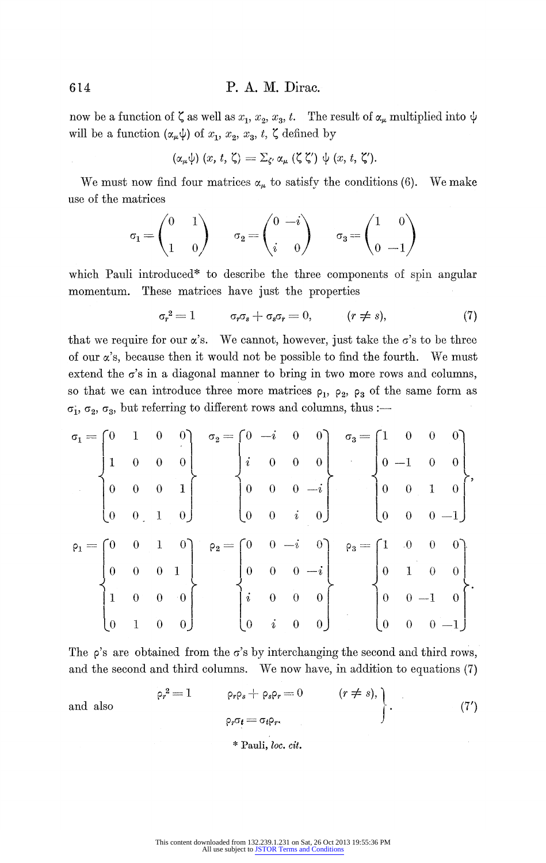now be a function of  $\zeta$  as well as  $x_1, x_2, x_3, t$ . The result of  $\alpha_\mu$  multiplied into  $\psi$ will be a function  $(\alpha_{\mu}\psi)$  of  $x_1, x_2, x_3, t$ ,  $\zeta$  defined by

$$
(\alpha_{\mu}\psi)(x, t, \zeta) = \sum_{\zeta'} \alpha_{\mu} (\zeta \zeta') \psi(x, t, \zeta').
$$

We must now find four matrices  $\alpha_{\mu}$  to satisfy the conditions (6). We make **use of the matrices** 

$$
\sigma_1 = \begin{pmatrix} 0 & 1 \\ 1 & 0 \end{pmatrix} \qquad \sigma_2 = \begin{pmatrix} 0 & -i \\ i & 0 \end{pmatrix} \qquad \sigma_3 = \begin{pmatrix} 1 & 0 \\ 0 & -1 \end{pmatrix}
$$

**which Pauli introduced\* to describe the three components of spin angular momentum. These matrices have just the properties** 

$$
\sigma_r^2 = 1 \qquad \sigma_r \sigma_s + \sigma_s \sigma_r = 0, \qquad (r \neq s), \qquad (7)
$$

that we require for our  $\alpha$ 's. We cannot, however, just take the  $\sigma$ 's to be three of our  $\alpha$ 's, because then it would not be possible to find the fourth. We must extend the  $\sigma$ 's in a diagonal manner to bring in two more rows and columns, so that we can introduce three more matrices  $\rho_1$ ,  $\rho_2$ ,  $\rho_3$  of the same form as  $\sigma_1$ ,  $\sigma_2$ ,  $\sigma_3$ , but referring to different rows and columns, thus:

$$
\sigma_1 = \begin{bmatrix} 0 & 1 & 0 & 0 \\ 1 & 0 & 0 & 0 \\ 0 & 0 & 0 & 1 \\ 0 & 0 & 1 & 0 \end{bmatrix} \quad \sigma_2 = \begin{bmatrix} 0 & -i & 0 & 0 \\ i & 0 & 0 & 0 \\ 0 & 0 & 0 & -i \\ 0 & 0 & i & 0 \end{bmatrix} \quad \sigma_3 = \begin{bmatrix} 1 & 0 & 0 & 0 \\ 0 & -1 & 0 & 0 \\ 0 & 0 & 1 & 0 \\ 0 & 0 & 0 & -1 \end{bmatrix},
$$
  
\n
$$
\rho_1 = \begin{bmatrix} 0 & 0 & 1 & 0 \\ 0 & 0 & 0 & 1 \\ 1 & 0 & 0 & 0 \\ 0 & 1 & 0 & 0 \end{bmatrix} \quad \rho_2 = \begin{bmatrix} 0 & 0 & -i & 0 \\ 0 & 0 & -i & 0 \\ 0 & 0 & 0 & -i \\ i & 0 & 0 & 0 \\ 0 & i & 0 & 0 \end{bmatrix} \quad \rho_3 = \begin{bmatrix} 1 & 0 & 0 & 0 \\ 0 & 1 & 0 & 0 \\ 0 & 1 & 0 & 0 \\ 0 & 0 & -1 & 0 \\ 0 & 0 & 0 & -1 \end{bmatrix}.
$$

The  $\rho$ 's are obtained from the  $\sigma$ 's by interchanging the second and third rows, **and the second and third columns. We now have, in addition to equations (7)** 

and also 
$$
\rho_r^2 = 1 \qquad \rho_r \rho_s + \rho_s \rho_r = 0 \qquad (r \neq s),
$$

$$
\rho_r \sigma_t = \sigma_t \rho_r. \qquad (7')
$$

**\* Pauli, loc. cit.** 

**614**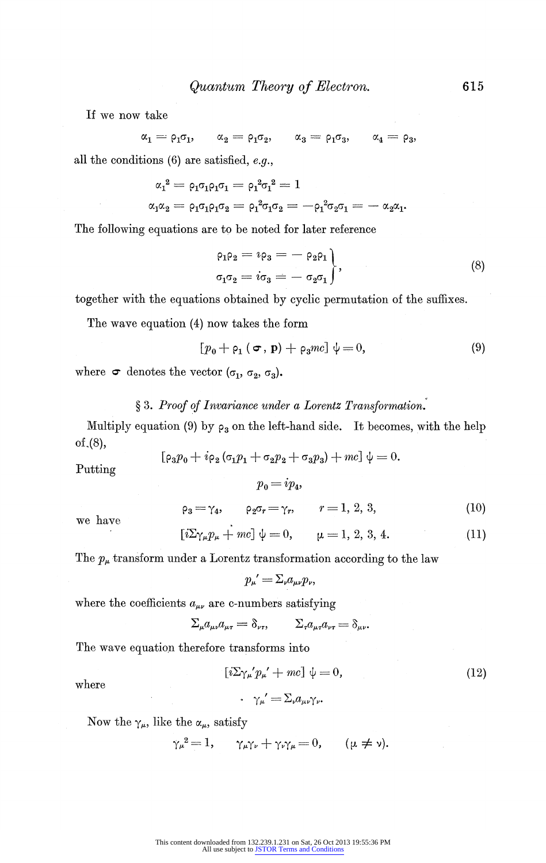**If we now take** 

 $\alpha_1 = \rho_1 \sigma_1, \quad \alpha_2 = \rho_1 \sigma_2, \quad \alpha_3 = \rho_1 \sigma_3, \quad \alpha_4 = \rho_3,$ 

**all the conditions (6) are satisfied, e.g.,** 

$$
\alpha_1^2 = \rho_1 \sigma_1 \rho_1 \sigma_1 = \rho_1^2 \sigma_1^2 = 1
$$
  

$$
\alpha_1 \alpha_2 = \rho_1 \sigma_1 \rho_1 \sigma_2 = \rho_1^2 \sigma_1 \sigma_2 = -\rho_1^2 \sigma_2 \sigma_1 = -\alpha_2 \alpha_1.
$$

**The following equations are to be noted for later reference** 

$$
\rho_1 \rho_2 = i \rho_3 = -\rho_2 \rho_1 \n\sigma_1 \sigma_2 = i \sigma_3 = -\sigma_2 \sigma_1
$$
\n(8)

**together with the equations obtained by cyclic permutation of the suffixes.** 

**The wave equation (4) now takes the form** 

$$
[p_0 + \rho_1 (\sigma, \mathbf{p}) + \rho_3 m c] \psi = 0,\tag{9}
$$

where  $\sigma$  denotes the vector  $(\sigma_1, \sigma_2, \sigma_3)$ .

# **? 3. Proof of Invariance under a Lorentz Transformation.**

Multiply equation (9) by  $\rho_3$  on the left-hand side. It becomes, with the help **of.(8),** 

$$
[\rho_3 p_0 + i \rho_2 (\sigma_1 p_1 + \sigma_2 p_2 + \sigma_3 p_3) + mc] \psi = 0.
$$

**Putting** 

$$
p_{\mathbf{0}}\!=\!ip_{\mathbf{4}},
$$

**we have** 

$$
\rho_3 = \gamma_4, \qquad \rho_2 \sigma_r = \gamma_r, \qquad r = 1, 2, 3,
$$
\n
$$
[i\Sigma \gamma_\mu p_\mu + mc] \psi = 0, \qquad \mu = 1, 2, 3, 4.
$$
\n(11)

The  $p_\mu$  transform under a Lorentz transformation according to the law  $\,$ 

$$
p_{\mu}^{\prime}=\Sigma_{\nu}a_{\mu\nu}p_{\nu},
$$

where the coefficients  $a_{\mu\nu}$  are c-numbers satisfying

$$
\Sigma_{\mu} a_{\mu\nu} a_{\mu\tau} = \delta_{\nu\tau}, \qquad \Sigma_{\tau} a_{\mu\tau} a_{\nu\tau} = \delta_{\mu\nu}.
$$

**The wave equation therefore transforms into** 

$$
[i\Sigma \gamma_{\mu}^{\prime} p_{\mu}^{\prime} + mc] \psi = 0,
$$
\n
$$
\gamma_{\mu}^{\prime} = \Sigma_{\nu} a_{\mu\nu} \gamma_{\nu}.
$$
\n(12)

**where** 

Now the  $\gamma_{\mu}$ , like the  $\alpha_{\mu}$ , satisfy

$$
\gamma_{\mu}^2=1, \qquad \gamma_{\mu}\gamma_{\nu}+\gamma_{\nu}\gamma_{\mu}=0, \qquad (\mu \neq \nu).
$$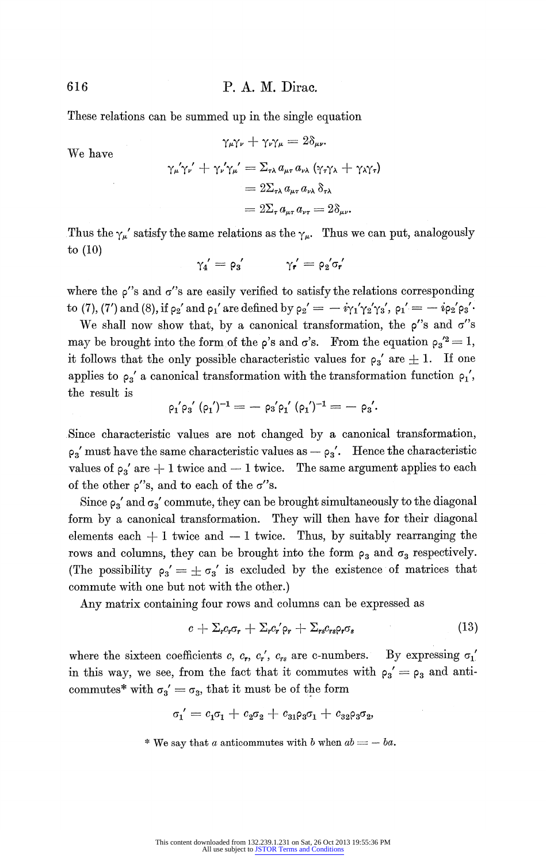**These relations can be summed up in the single equation** 

$$
\gamma_{\mu}\gamma_{\nu} + \gamma_{\nu}\gamma_{\mu} = 2\delta_{\mu\nu}.
$$

$$
\gamma_{\mu}\gamma_{\nu}' + \gamma_{\nu}'\gamma_{\mu}' = \Sigma_{\tau\lambda} a_{\mu\tau} a_{\nu\lambda} (\gamma_{\tau}\gamma_{\lambda} + \gamma_{\lambda}\gamma_{\tau})
$$

$$
= 2\Sigma_{\tau\lambda} a_{\mu\tau} a_{\nu\lambda} \delta_{\tau\lambda}
$$

$$
= 2\Sigma_{\tau} a_{\mu\tau} a_{\nu\tau} = 2\delta_{\mu\nu}.
$$

Thus the  $\gamma_{\mu}$ ' satisfy the same relations as the  $\gamma_{\mu}$ . Thus we can put, analogously **to (10)** 

$$
\gamma_4^{'}=\rho_3^{'}\qquad \quad \gamma_r^{'}=\rho_2^{'}\sigma_r^{'}
$$

where the  $\rho$ 's and  $\sigma$ 's are easily verified to satisfy the relations corresponding  $\text{to } (7), (7') \text{ and } (8), \text{ if } \rho_2' \text{ and } \rho_1' \text{ are defined by } \rho_2' = -\,i\gamma_1'\gamma_2'\gamma_3', \, \rho_1' = -\,i\rho_2'\rho_3'$ 

We shall now show that, by a canonical transformation, the  $\rho$ 's and  $\sigma$ 's may be brought into the form of the  $\rho$ 's and  $\sigma$ 's. From the equation  $\rho_3'^2 = 1$ , it follows that the only possible characteristic values for  $\rho_3'$  are  $\pm 1$ . If one applies to  $\rho_3'$  a canonical transformation with the transformation function  $\rho_1'$ , **the result is** 

$$
\rho_1' \rho_3' (\rho_1')^{-1} = - \rho_3' \rho_1' (\rho_1')^{-1} = - \rho_3'.
$$

**Since characteristic values are not changed by a canonical transformation,**   $p_3'$  must have the same characteristic values as  $-\rho_3'$ . Hence the characteristic values of  $\rho_3'$  are  $+1$  twice and  $-1$  twice. The same argument applies to each of the other  $\rho$ ''s, and to each of the  $\sigma$ ''s.

Since  $\rho_3'$  and  $\sigma_3'$  commute, they can be brought simultaneously to the diagonal **form by a canonical transformation. They will then have for their diagonal elements each + 1 twice and - 1 twice. Thus, by suitably rearranging the rows and columns, they can be brought into the form**  $\rho_3$  **and**  $\sigma_3$  **respectively.** (The possibility  $\rho_3' = \pm \sigma_3'$  is excluded by the existence of matrices that **commute with one but not with the other.)** 

**Any matrix containing four rows and columns can be expressed as** 

$$
c + \Sigma_r c_r \sigma_r + \Sigma_r c_r' \rho_r + \Sigma_{rs} c_{rs} \rho_r \sigma_s \tag{13}
$$

where the sixteen coefficients  $c, c_r, c_r', c_{rs}$  are c-numbers. By expressing  $\sigma_1'$ in this way, we see, from the fact that it commutes with  $\rho_3' = \rho_3$  and anticommutes\* with  $\sigma_3' = \sigma_3$ , that it must be of the form

$$
\sigma_1' = c_1 \sigma_1 + c_2 \sigma_2 + c_{31} \rho_3 \sigma_1 + c_{32} \rho_3 \sigma_2,
$$

\* We say that a anticommutes with b when  $ab = -ba$ .

**We have**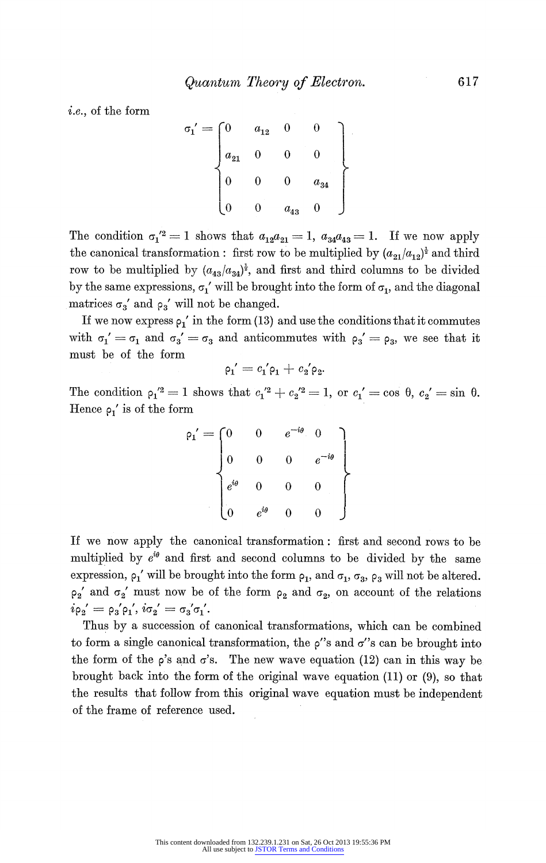**i.e., of the form** 

$$
\sigma_1' = \begin{bmatrix} 0 & a_{12} & 0 & 0 \\ a_{21} & 0 & 0 & 0 \\ 0 & 0 & 0 & a_{34} \\ 0 & 0 & a_{43} & 0 \end{bmatrix}
$$

The condition  $\sigma_1^2 = 1$  shows that  $a_{12}a_{21} = 1$ ,  $a_{34}a_{43} = 1$ . If we now apply the canonical transformation : first row to be multiplied by  $(a_{21}/a_{12})^{\frac{1}{2}}$  and third row to be multiplied by  $(a_{43}/a_{34})^{\frac{1}{2}}$ , and first and third columns to be divided by the same expressions,  $\sigma_1'$  will be brought into the form of  $\sigma_1$ , and the diagonal matrices  $\sigma_3'$  and  $\rho_3'$  will not be changed.

If we now express  $\rho_1'$  in the form (13) and use the conditions that it commutes with  $\sigma_1' = \sigma_1$  and  $\sigma_3' = \sigma_3$  and anticommutes with  $\rho_3' = \rho_3$ , we see that it **must be of the form** 

$$
\rho_1'=c_1{'}\rho_1+c_2{'}\rho_2.
$$

The condition  $\rho_1'^2 = 1$  shows that  $c_1'^2 + c_2'^2 = 1$ , or  $c_1' = \cos \theta$ ,  $c_2' = \sin \theta$ . Hence  $\rho_1'$  is of the form

$$
\rho_1' = \begin{bmatrix} 0 & 0 & e^{-i\theta} & 0 \\ 0 & 0 & 0 & e^{-i\theta} \\ e^{i\theta} & 0 & 0 & 0 \\ 0 & e^{i\theta} & 0 & 0 \end{bmatrix}
$$

**If we now apply the canonical transformation: first and second rows to be**  multiplied by  $e^{i\theta}$  and first and second columns to be divided by the same expression,  $\rho_1'$  will be brought into the form  $\rho_1$ , and  $\sigma_1$ ,  $\sigma_3$ ,  $\rho_3$  will not be altered.  $\rho_2'$  and  $\sigma_2'$  must now be of the form  $\rho_2$  and  $\sigma_2$ , on account of the relations  $i\varphi_{2}^{\prime} = \varphi_{3}^{\prime}\varphi_{1}^{\prime}, i\sigma_{2}^{\prime} = \sigma_{3}^{\prime}\sigma_{1}^{\prime}.$ 

**Thus by a succession of canonical transformations, which can be combined**  to form a single canonical transformation, the  $\rho$ 's and  $\sigma$ 's can be brought into the form of the  $\rho$ 's and  $\sigma$ 's. The new wave equation (12) can in this way be **brought back into the form of the original wave equation (11) or (9), so that the results that follow from this original wave equation must be independent of the frame of reference used.**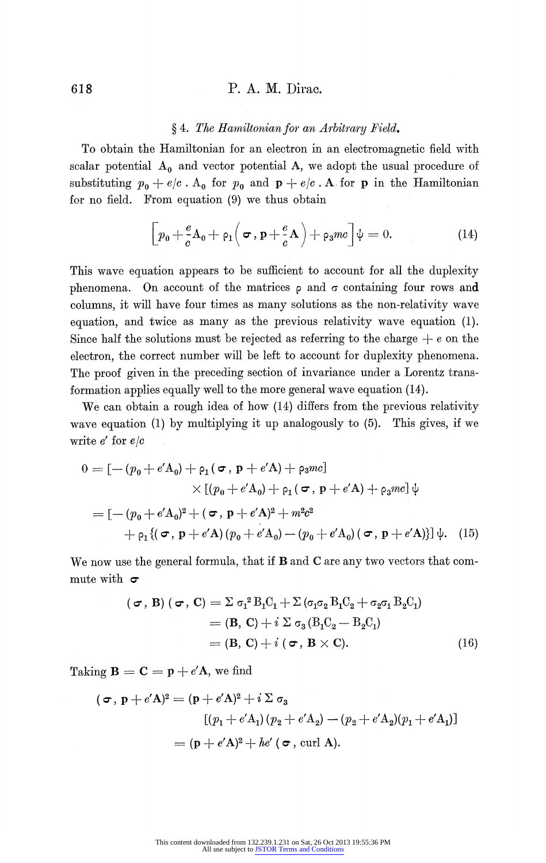## **? 4. The Hamiltonian for an Arbitrary Field.**

**To obtain the Hamiltonian for an electron in an electromagnetic field with**  scalar potential  $A_0$  and vector potential A, we adopt the usual procedure of substituting  $p_0 + e/c$ . A<sub>0</sub> for  $p_0$  and  $\mathbf{p} + e/c$ . A for  $\mathbf{p}$  in the Hamiltonian **for no field. From equation (9) we thus obtain** 

$$
\left[p_0 + \frac{e}{c}\mathbf{A}_0 + \rho_1\left(\boldsymbol{\sigma}, \mathbf{p} + \frac{e}{c}\mathbf{A}\right) + \rho_3 mc\right]\psi = 0.
$$
 (14)

**This wave equation appears to be sufficient to account for all the duplexity phenomena.** On account of the matrices  $\rho$  and  $\sigma$  containing four rows and **columns, it will have four times as many solutions as the non-relativity wave equation, and twice as many as the previous relativity wave equation (1).**  Since half the solutions must be rejected as referring to the charge  $+e$  on the **electron, the correct number will be left to account for duplexity phenomena. The proof given in the preceding section of invariance under a Lorentz transformation applies equally well to the more general wave equation (14).** 

**We can obtain a rough idea of how (14) differs from the previous relativity wave equation (1) by multiplying it up analogously to (5). This gives, if we write e' for e/c** 

$$
0 = [- (p_0 + e'A_0) + \rho_1 (\sigma, \mathbf{p} + e'A) + \rho_3 mc]
$$
  
 
$$
\times [(p_0 + e'A_0) + \rho_1 (\sigma, \mathbf{p} + e'A) + \rho_3 mc] \psi
$$
  

$$
= [- (p_0 + e'A_0)^2 + (\sigma, \mathbf{p} + e'A)^2 + m^2 c^2
$$
  

$$
+ \rho_1 \{ (\sigma, \mathbf{p} + e'A)(p_0 + e'A_0) - (p_0 + e'A_0) (\sigma, \mathbf{p} + e'A) \} ] \psi.
$$
 (15)

We now use the general formula, that if **B** and **C** are any two vectors that commute with  $\sigma$ 

$$
(\sigma, B) (\sigma, C) = \sum \sigma_1^2 B_1 C_1 + \sum (\sigma_1 \sigma_2 B_1 C_2 + \sigma_2 \sigma_1 B_2 C_1)
$$
  
= 
$$
(B, C) + i \sum \sigma_3 (B_1 C_2 - B_2 C_1)
$$
  
= 
$$
(B, C) + i (\sigma, B \times C).
$$
 (16)

Taking  $B = C = p + e^t A$ , we find

$$
(\sigma, \mathbf{p} + e'\mathbf{A})^2 = (\mathbf{p} + e'\mathbf{A})^2 + i \Sigma \sigma_3
$$
  

$$
[(p_1 + e'\mathbf{A}_1)(p_2 + e'\mathbf{A}_2) - (p_2 + e'\mathbf{A}_2)(p_1 + e'\mathbf{A}_1)]
$$
  

$$
= (\mathbf{p} + e'\mathbf{A})^2 + he'(\sigma, \text{ curl } \mathbf{A}).
$$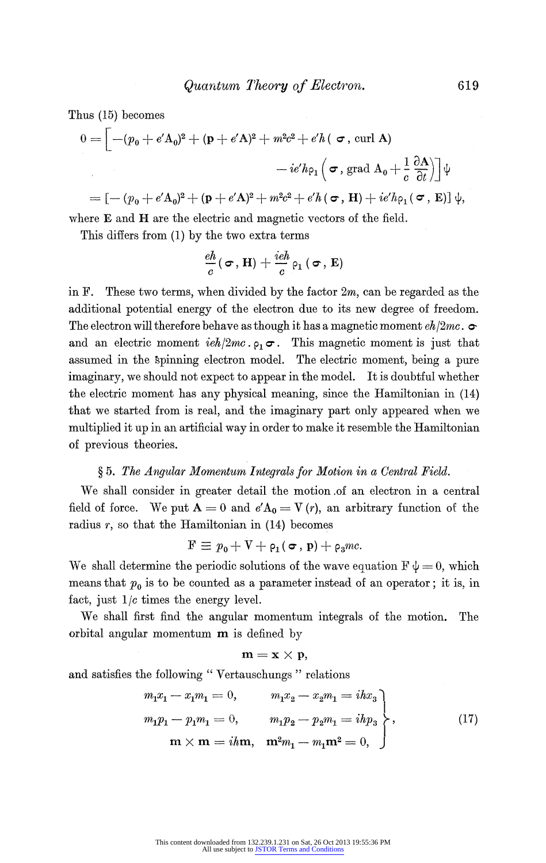**Thus (15) becomes** 

$$
0 = \left[ -(p_0 + e'\mathbf{A}_0)^2 + (\mathbf{p} + e'\mathbf{A})^2 + m^2c^2 + e'h (\sigma, \text{ curl }\mathbf{A}) \right]
$$

$$
-ie'h\rho_1(\sigma, \text{grad }\mathbf{A}_0 + \frac{1}{c}\frac{\partial \mathbf{A}}{\partial t}) \right] \psi
$$

$$
= \left[ -(p_0 + e'\mathbf{A}_0)^2 + (\mathbf{p} + e'\mathbf{A})^2 + m^2c^2 + e'h (\sigma, \mathbf{H}) + ie'h\rho_1(\sigma, \mathbf{E}) \right] \psi,
$$

**where E and H are the electric and magnetic vectors of the field.** 

**This differs from (1) by the two extra terms** 

$$
\tfrac{eh}{c}(\,\textbf{\textit{\texttt{\char'42}}}, \textbf{H}) + \tfrac{ieh}{c}\, \rho_1 \,(\,\textbf{\textit{\texttt{\char'42}}}, \textbf{E})
$$

**in F. These two terms, when divided by the factor 2m, can be regarded as the additional potential energy of the electron due to its new degree of freedom. The electron will therefore behave as though it has a magnetic moment eh/2mc. o**and an electric moment  $ieh/2mc \cdot \rho_1 \sigma$ . This magnetic moment is just that **assumed in the Spinning electron model. The electric moment, being a pure imaginary, we should not expect to appear in the model. It is doubtful whether the electric moment has any physical meaning, since the Hamiltonian in (14) that we started from is real, and the imaginary part only appeared when we multiplied it up in an artificial way in order to make it resemble the Hamiltonian of previous theories.** 

### **? 5. The Angular Momentum Integrals for Motion in a Central Field.**

**We shall consider in greater detail the motion of an electron in a central**  field of force. We put  $A = 0$  and  $e'A_0 = V(r)$ , an arbitrary function of the **radius r, so that the Hamiltonian in (14) becomes** 

$$
\mathbf{F} \equiv p_0 + \mathbf{V} + \rho_1(\boldsymbol{\sigma}, \mathbf{p}) + \rho_3 mc.
$$

We shall determine the periodic solutions of the wave equation  $F \psi = 0$ , which means that  $p_0$  is to be counted as a parameter instead of an operator; it is, in **fact, just 1/c times the energy level.** 

**We shall first find the angular momentum integrals of the motion. The orbital angular momentum m is defined by** 

$$
m=x\times p,
$$

**and satisfies the following " Vertauschungs " relations** 

$$
m_1x_1 - x_1m_1 = 0, \t m_1x_2 - x_2m_1 = ihx_3
$$
  
\n
$$
m_1p_1 - p_1m_1 = 0, \t m_1p_2 - p_2m_1 = ihp_3
$$
  
\n
$$
m \times m = ihm, \t m^2m_1 - m_1m^2 = 0,
$$
\n(17)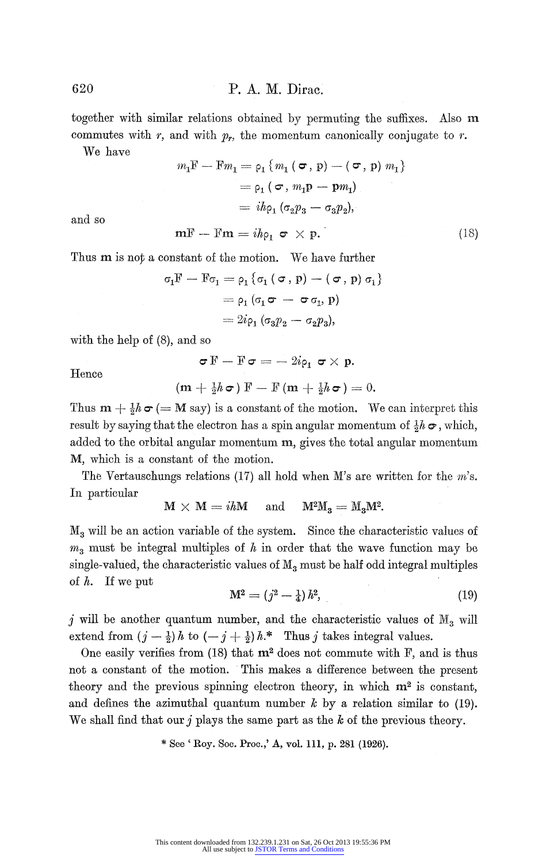**together with similar relations obtained by permuting the suffixes. Also m**  commutes with  $r$ , and with  $p_r$ , the momentum canonically conjugate to  $r$ .

**We have** 

$$
m_1\mathbf{F} - \mathbf{F}m_1 = \rho_1 \{m_1 (\sigma, \mathbf{p}) - (\sigma, \mathbf{p}) m_1\}
$$
  
=  $\rho_1 (\sigma, m_1\mathbf{p} - \mathbf{p}m_1)$   
=  $i\hbar \rho_1 (\sigma_2 p_3 - \sigma_3 p_2),$ 

**and so** 

 $mF - Fm = ih_{\rho}, \sigma \times p.$  (18)

**Thus m is not a constant of the motion. We have further** 

$$
\sigma_1 \mathbf{F} - \mathbf{F} \sigma_1 = \rho_1 \{ \sigma_1 (\sigma, \mathbf{p}) - (\sigma, \mathbf{p}) \sigma_1 \}
$$
  
=  $\rho_1 (\sigma_1 \sigma - \sigma \sigma_1, \mathbf{p})$   
=  $2i \rho_1 (\sigma_3 p_2 - \sigma_2 p_3),$ 

**with the help of (8), and so** 

$$
\sigma F - F \sigma = -2i\rho_1 \sigma \times p.
$$

**Hence** 

$$
(\mathbf{m} + \frac{1}{2}h\,\boldsymbol{\sigma})\,\mathbf{F} - \mathbf{F}\,(\mathbf{m} + \frac{1}{2}h\,\boldsymbol{\sigma}) = 0.
$$

Thus  $m + \frac{1}{2}h \sigma (= M \text{ say})$  is a constant of the motion. We can interpret this **result** by saying that the electron has a spin angular momentum of  $\frac{1}{2}h \sigma$ , which, **added to the orbital angular momentum m, gives the total angular momentum M, which is a constant of the motion.** 

**The Vertauschungs relations (17) all hold when M's are written for the m's. In particular** 

$$
\mathbf{M} \times \mathbf{M} = i\hbar \mathbf{M} \quad \text{and} \quad \mathbf{M}^2 \mathbf{M}_3 = \mathbf{M}_3 \mathbf{M}^2.
$$

**M3 will be an action variable of the system. Since the characteristic values of**   $m_3$  must be integral multiples of  $h$  in order that the wave function may be **single-valued, the characteristic values of M3 must be half odd integral multiples of h. If we put** 

$$
\mathbf{M}^2 = (j^2 - \frac{1}{4})h^2,\tag{19}
$$

 $j$  will be another quantum number, and the characteristic values of  $M<sub>3</sub>$  will extend from  $(j - \frac{1}{2}) h$  to  $(-j + \frac{1}{2}) h$ .\* Thus j takes integral values.

**One easily verifies from (18) that m2 does not commute with F, and is thus not a constant of the motion. This makes a difference between the present theory and the previous spinning electron theory, in which m2 is constant,**  and defines the azimuthal quantum number  $k$  by a relation similar to  $(19)$ . We shall find that our  $j$  plays the same part as the  $k$  of the previous theory.

**\* See ' Roy. Soc. Proc.,' A, vol. 111, p. 281 (1926).** 

**620**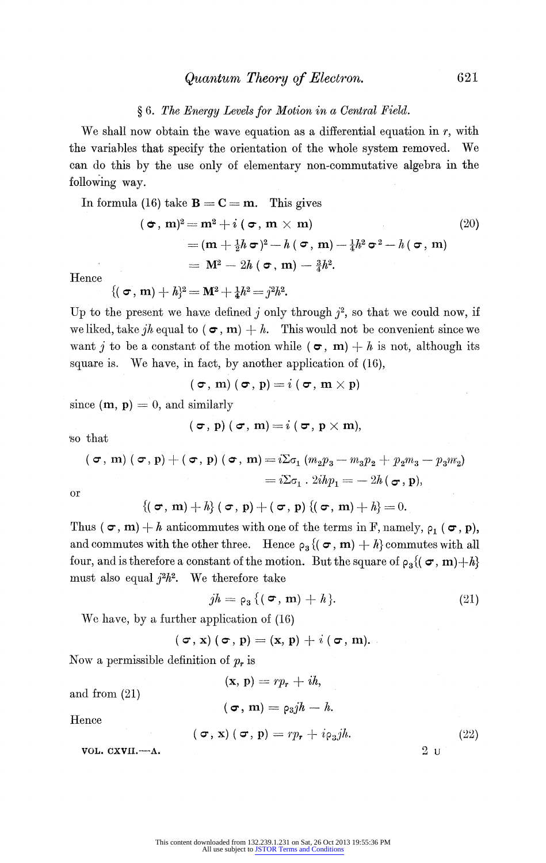## **? 6. The Energy Levels for Motion in a Central Field.**

**We shall now obtain the wave equation as a differential equation in r, with the variables that specify the orientation of the whole system removed. We can do this by the use only of elementary non-commutative algebra in the following way.** 

In formula (16) take 
$$
\mathbf{B} = \mathbf{C} = \mathbf{m}
$$
. This gives  
\n
$$
(\mathbf{\dot{\sigma}}, \mathbf{m})^2 = \mathbf{m}^2 + i (\mathbf{\dot{\sigma}}, \mathbf{m} \times \mathbf{m})
$$
\n
$$
= (\mathbf{m} + \frac{1}{2}h \mathbf{\dot{\sigma}})^2 - h (\mathbf{\dot{\sigma}}, \mathbf{m}) - \frac{1}{4}h^2 \mathbf{\dot{\sigma}}^2 - h (\mathbf{\dot{\sigma}}, \mathbf{m})
$$
\n
$$
= \mathbf{M}^2 - 2h (\mathbf{\dot{\sigma}}, \mathbf{m}) - \frac{3}{4}h^2.
$$
\n(20)

**Hence** 

$$
\{(\sigma, m) + h\}^2 = M^2 + \frac{1}{4}h^2 = j^2h^2.
$$

Up to the present we have defined j only through  $j^2$ , so that we could now, if we liked, take jh equal to  $(\sigma, m) + h$ . This would not be convenient since we want j to be a constant of the motion while  $(\sigma, m) + h$  is not, although its **square is. We have, in fact, by another application of (16),** 

$$
(\sigma, m) (\sigma, p) = i (\sigma, m \times p)
$$

since  $(m, p) = 0$ , and similarly

$$
(\sigma, p) (\sigma, m) = i (\sigma, p \times m),
$$

**so that** 

$$
(\sigma, m) (\sigma, p) + (\sigma, p) (\sigma, m) = i \Sigma \sigma_1 (m_2 p_3 - m_3 p_2 + p_2 m_3 - p_3 m_2)
$$
  
=  $i \Sigma \sigma_1 \cdot 2ih p_1 = -2h (\sigma, p),$ 

**or** 

**and from (21)** 

$$
\{(\boldsymbol{\sigma},\,\mathbf{m})+h\}(\,\boldsymbol{\sigma},\,\mathbf{p})+(\boldsymbol{\sigma},\,\mathbf{p})\,\{(\boldsymbol{\sigma},\,\mathbf{m})+h\}=0.
$$

Thus  $(\sigma, m) + h$  anticommutes with one of the terms in F, namely,  $\rho_1 (\sigma, p)$ , and commutes with the other three. Hence  $\rho_3$  {( $\sigma$ , **m**) + h} commutes with all four, and is therefore a constant of the motion. But the square of  $\rho_3$ { $\sigma$ , m)+h} must also equal  $j^2h^2$ . We therefore take

$$
jh = \rho_3 \left\{ (\sigma, m) + h \right\}.
$$
 (21)

**We have, by a further application of (16)** 

$$
(\sigma, x) (\sigma, p) = (x, p) + i (\sigma, m).
$$

Now a permissible definition of  $p_r$  is

$$
(\mathbf{x}, \mathbf{p}) = rp_r + ih,
$$
  
and from (21)  

$$
(\boldsymbol{\sigma}, \mathbf{m}) = \rho_3 jh - h.
$$
  

$$
(\boldsymbol{\sigma}, \mathbf{x}) (\boldsymbol{\sigma}, \mathbf{p}) = rp_r + i\rho_3 jh.
$$
 (22)

**VOL. CXVII.—A. 2 U**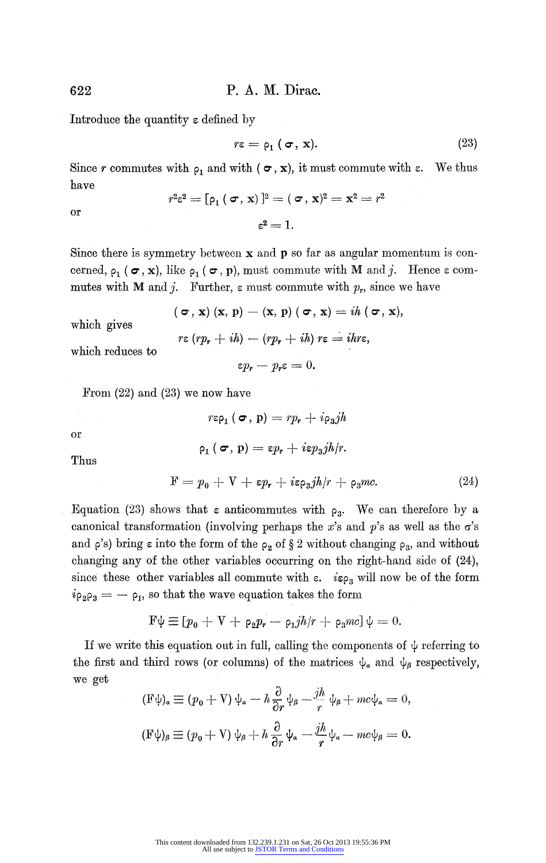**Introduce the quantity e defined by** 

$$
r\varepsilon = \rho_1 \left( \sigma, \mathbf{x} \right). \tag{23}
$$

Since r commutes with  $\rho_1$  and with  $(\sigma, x)$ , it must commute with  $\varepsilon$ . We thus **have** 

 $r^2 \varepsilon^2 = [\rho_1 (\sigma, x)]^2 = (\sigma, x)^2 = x^2 = r^2$ **or**   $\varepsilon^2 = 1.$ 

Since there is symmetry between **x** and **p** so far as angular momentum is concerned,  $\rho_1$  ( $\sigma$ , **x**), like  $\rho_1$  ( $\sigma$ , **p**), must commute with **M** and *j*. Hence  $\varepsilon$  com**mutes with M and j.** Further,  $\varepsilon$  must commute with  $p_r$ , since we have

$$
(\sigma, x) (x, p) - (x, p) (\sigma, x) = ih (\sigma, x),
$$
  

$$
r \varepsilon (rp_r + ih) - (rp_r + ih) r \varepsilon = ih r \varepsilon,
$$

**which reduces to** 

**which gives** 

$$
\varepsilon p_r-p_r\varepsilon=0.
$$

**From (22) and (23) we now have** 

$$
r\varepsilon \rho_1 \left( \, \boldsymbol{\sigma} \,,\, \boldsymbol{p} \right) = r p_r + i \rho_3 j h
$$

**or** 

$$
\varrho_1\left(\,\boldsymbol{\sigma},\,\boldsymbol{p}\right)=\varepsilon p_r+i\varepsilon p_3 j h/r.
$$

**Thus** 

$$
\mathbf{F} = p_0 + \mathbf{V} + \varepsilon p_r + i\varepsilon \rho_3 j h / r + \rho_3 mc. \tag{24}
$$

**Equation** (23) shows that *z* **anticommutes with**  $\rho_3$ **. We can therefore by a** canonical transformation (involving perhaps the x's and  $p$ 's as well as the  $\sigma$ 's and  $\rho$ 's) bring  $\epsilon$  into the form of the  $\rho_2$  of  $\S 2$  without changing  $\rho_3$ , and without **changing any of the other variables occurring on the right-hand side of (24),**  since these other variables all commute with  $\varepsilon$ .  $i\varepsilon_{\rho_3}$  will now be of the form  $i\rho_2\rho_3 = -\rho_1$ , so that the wave equation takes the form

$$
\mathbf{F}\psi \equiv [p_0 + \mathbf{V} + \rho_2 p_r - \rho_1 j h/r + \rho_3 m c] \psi = 0.
$$

If we write this equation out in full, calling the components of  $\psi$  referring to the first and third rows (or columns) of the matrices  $\psi_a$  and  $\psi_\beta$  respectively, **we get** 

$$
(\mathbf{F}\psi)_\alpha \equiv (p_0 + \mathbf{V})\psi_\alpha - h\frac{\partial}{\partial r}\psi_\beta - \frac{jh}{r}\psi_\beta + mc\psi_\alpha = 0,
$$
  

$$
(\mathbf{F}\psi)_\beta \equiv (p_0 + \mathbf{V})\psi_\beta + h\frac{\partial}{\partial r}\psi_\alpha - \frac{jh}{r}\psi_\alpha - mc\psi_\beta = 0.
$$

**622**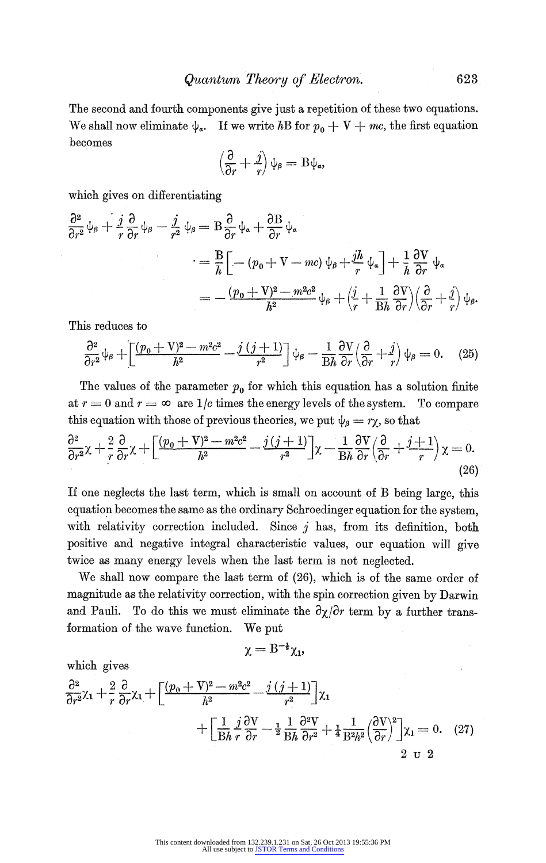**The second and fourth components give just a repetition of these two equations.**  We shall now eliminate  $\psi_a$ . If we write hB for  $p_0 + V + mc$ , the first equation **becomes** 

$$
\left(\frac{\partial}{\partial r}+\frac{j}{r}\right)\psi_{\beta}=\mathrm{B}\psi_{\alpha},
$$

**which gives on differentiating** 

$$
\frac{\partial^2}{\partial r^2} \psi_\beta + \frac{j}{r} \frac{\partial}{\partial r} \psi_\beta - \frac{j}{r^2} \psi_\beta = B \frac{\partial}{\partial r} \psi_a + \frac{\partial B}{\partial r} \psi_a
$$
  

$$
= \frac{B}{\hbar} \Big[ -(p_0 + \nabla - mc) \psi_\beta + \frac{j\hbar}{r} \psi_a \Big] + \frac{1}{\hbar} \frac{\partial V}{\partial r} \psi_a
$$
  

$$
= - \frac{(p_0 + \nabla)^2 - m^2 c^2}{\hbar^2} \psi_\beta + \left(\frac{j}{r} + \frac{1}{B\hbar} \frac{\partial V}{\partial r}\right) \left(\frac{\partial}{\partial r} + \frac{j}{r}\right) \psi_\beta.
$$

**This reduces to** 

$$
\frac{\partial^2}{\partial r^2} \psi_\beta + \left[ \frac{(p_0 + \mathbf{V})^2 - m^2 c^2}{h^2} - \frac{j(j+1)}{r^2} \right] \psi_\beta - \frac{1}{\mathbf{B}h} \frac{\partial \mathbf{V}}{\partial r} \left( \frac{\partial}{\partial r} + \frac{j}{r} \right) \psi_\beta = 0. \quad (25)
$$

The values of the parameter  $p_0$  for which this equation has a solution finite at  $r = 0$  and  $r = \infty$  are  $1/c$  times the energy levels of the system. To compare this equation with those of previous theories, we put  $\psi_{\beta} = r\chi$ , so that

$$
\frac{\partial^2}{\partial r^2} \chi + \frac{2}{r} \frac{\partial}{\partial r} \chi + \left[ \frac{(p_0 + \mathbf{V})^2 - m^2 c^2}{h^2} - \frac{j(j+1)}{r^2} \right] \chi - \frac{1}{\mathbf{B}h} \frac{\partial \mathbf{V}}{\partial r} \left( \frac{\partial}{\partial r} + \frac{j+1}{r} \right) \chi = 0. \tag{26}
$$

**If one neglects the last term, which is small on account of B being large, this**  equation becomes the same as the ordinary Schroedinger equation for the system, **with relativity correction included. Since j has, from its definition, both positive and negative integral characteristic values, our equation will give twice as many energy levels when the last term is not neglected.** 

**We shall now compare the last term of (26), which is of the same order of magnitude as the relativity correction, with the spin correction given by Darwin**  and Pauli. To do this we must eliminate the  $\partial \chi / \partial r$  term by a further trans**formation of the wave function. We put** 

$$
\chi = \mathrm{B}^{-\frac{1}{2}}\chi_1
$$

**which gives** 

$$
\frac{\partial^2}{\partial r^2} \chi_1 + \frac{2}{r} \frac{\partial}{\partial r} \chi_1 + \left[ \frac{(p_0 + \mathbf{V})^2 - m^2 c^2}{h^2} - \frac{j(j+1)}{r^2} \right] \chi_1 + \left[ \frac{1}{\mathbf{B}h} \frac{j}{r} \frac{\partial \mathbf{V}}{\partial r} - \frac{1}{2} \frac{1}{\mathbf{B}h} \frac{\partial^2 \mathbf{V}}{\partial r^2} + \frac{1}{4} \frac{1}{\mathbf{B}^2 h^2} \left( \frac{\partial \mathbf{V}}{\partial r} \right)^2 \right] \chi_1 = 0. \quad (27)
$$